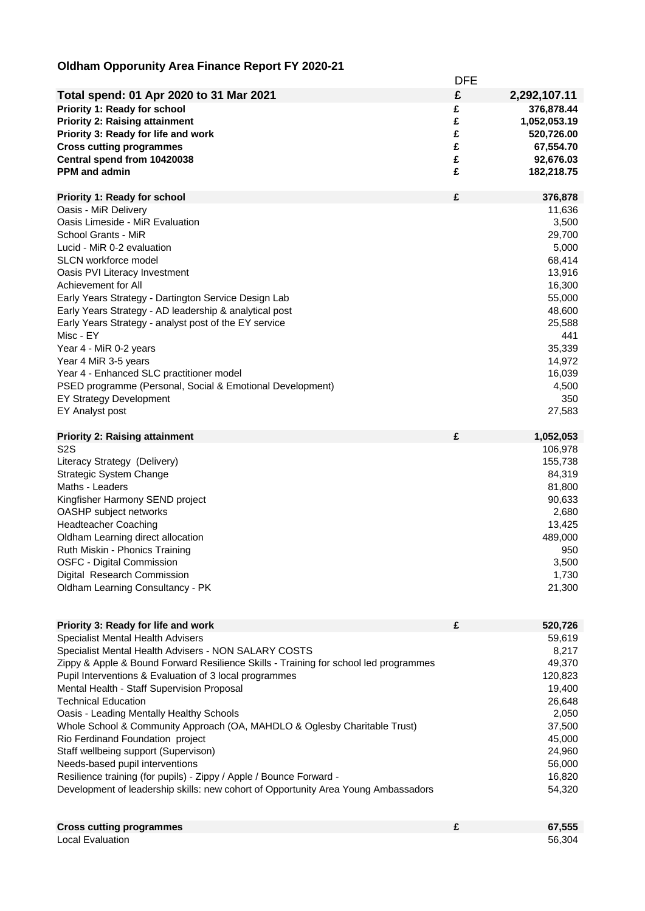## **Oldham Opporunity Area Finance Report FY 2020-21**

|                                                                                      | <b>DFE</b> |              |
|--------------------------------------------------------------------------------------|------------|--------------|
| Total spend: 01 Apr 2020 to 31 Mar 2021                                              | £          | 2,292,107.11 |
| Priority 1: Ready for school                                                         | £          | 376,878.44   |
| <b>Priority 2: Raising attainment</b>                                                | £          |              |
|                                                                                      |            | 1,052,053.19 |
| Priority 3: Ready for life and work                                                  | £          | 520,726.00   |
| <b>Cross cutting programmes</b>                                                      | £          | 67,554.70    |
| Central spend from 10420038                                                          | £          | 92,676.03    |
| <b>PPM</b> and admin                                                                 | £          | 182,218.75   |
| <b>Priority 1: Ready for school</b>                                                  | £          | 376,878      |
| Oasis - MiR Delivery                                                                 |            | 11,636       |
| Oasis Limeside - MiR Evaluation                                                      |            | 3,500        |
| School Grants - MiR                                                                  |            | 29,700       |
| Lucid - MiR 0-2 evaluation                                                           |            | 5,000        |
| <b>SLCN</b> workforce model                                                          |            | 68,414       |
| Oasis PVI Literacy Investment                                                        |            | 13,916       |
| Achievement for All                                                                  |            | 16,300       |
| Early Years Strategy - Dartington Service Design Lab                                 |            | 55,000       |
| Early Years Strategy - AD leadership & analytical post                               |            | 48,600       |
| Early Years Strategy - analyst post of the EY service                                |            | 25,588       |
| Misc - EY                                                                            |            | 441          |
| Year 4 - MiR 0-2 years                                                               |            | 35,339       |
| Year 4 MiR 3-5 years                                                                 |            | 14,972       |
| Year 4 - Enhanced SLC practitioner model                                             |            | 16,039       |
| PSED programme (Personal, Social & Emotional Development)                            |            | 4,500        |
| <b>EY Strategy Development</b>                                                       |            | 350          |
| EY Analyst post                                                                      |            | 27,583       |
|                                                                                      |            |              |
| <b>Priority 2: Raising attainment</b>                                                | £          | 1,052,053    |
| S <sub>2</sub> S                                                                     |            | 106,978      |
| Literacy Strategy (Delivery)                                                         |            | 155,738      |
| Strategic System Change                                                              |            | 84,319       |
| Maths - Leaders                                                                      |            | 81,800       |
| Kingfisher Harmony SEND project                                                      |            | 90,633       |
| OASHP subject networks                                                               |            | 2,680        |
| <b>Headteacher Coaching</b>                                                          |            | 13,425       |
| Oldham Learning direct allocation                                                    |            | 489,000      |
| Ruth Miskin - Phonics Training                                                       |            | 950          |
| <b>OSFC - Digital Commission</b>                                                     |            | 3,500        |
| Digital Research Commission                                                          |            | 1,730        |
| Oldham Learning Consultancy - PK                                                     |            | 21,300       |
|                                                                                      |            |              |
| Priority 3: Ready for life and work                                                  | £          | 520,726      |
| Specialist Mental Health Advisers                                                    |            | 59,619       |
| Specialist Mental Health Advisers - NON SALARY COSTS                                 |            | 8,217        |
| Zippy & Apple & Bound Forward Resilience Skills - Training for school led programmes |            | 49,370       |
| Pupil Interventions & Evaluation of 3 local programmes                               |            | 120,823      |
| Mental Health - Staff Supervision Proposal                                           |            | 19,400       |
| <b>Technical Education</b>                                                           |            | 26,648       |
| Oasis - Leading Mentally Healthy Schools                                             |            | 2,050        |
| Whole School & Community Approach (OA, MAHDLO & Oglesby Charitable Trust)            |            | 37,500       |
| Rio Ferdinand Foundation project                                                     |            | 45,000       |
| Staff wellbeing support (Supervison)                                                 |            | 24,960       |
| Needs-based pupil interventions                                                      |            | 56,000       |
| Resilience training (for pupils) - Zippy / Apple / Bounce Forward -                  |            | 16,820       |
| Development of leadership skills: new cohort of Opportunity Area Young Ambassadors   |            | 54,320       |
|                                                                                      |            |              |
|                                                                                      |            |              |

| <b>Cross cutting programmes</b> | 67,555 |
|---------------------------------|--------|
| Local Evaluation                | 56,304 |